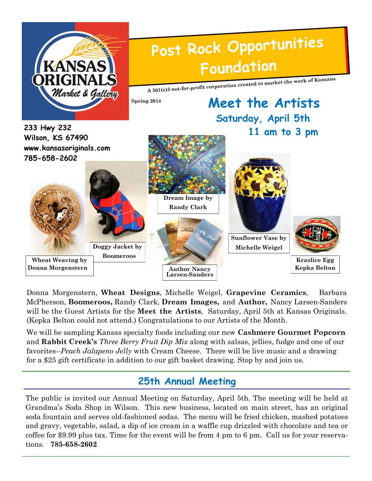

Donna Morgenstern, **Wheat Designs**, Michelle Weigel, **Grapevine Ceramics**, Barbara McPherson, **Boomeroos,** Randy Clark, **Dream Images,** and **Author,** Nancy Larsen-Sanders will be the Guest Artists for the **Meet the Artists**, Saturday, April 5th at Kansas Originals. (Kepka Belton could not attend.) Congratulations to our Artists of the Month.

We will be sampling Kansas specialty foods including our new **Cashmere Gourmet Popcorn**  and **Rabbit Creek's** *Three Berry Fruit Dip Mix* along with salsas, jellies, fudge and one of our favorites--*Peach Jalapeno Jelly* with Cream Cheese. There will be live music and a drawing for a \$25 gift certificate in addition to our gift basket drawing. Stop by and join us.

### **25th Annual Meeting**

The public is invited our Annual Meeting on Saturday, April 5th. The meeting will be held at Grandma's Soda Shop in Wilson. This new business, located on main street, has an original soda fountain and serves old-fashioned sodas. The menu will be fried chicken, mashed potatoes and gravy, vegetable, salad, a dip of ice cream in a waffle cup drizzled with chocolate and tea or coffee for \$9.99 plus tax. Time for the event will be from 4 pm to 6 pm. Call us for your reservations. **785-658-2602**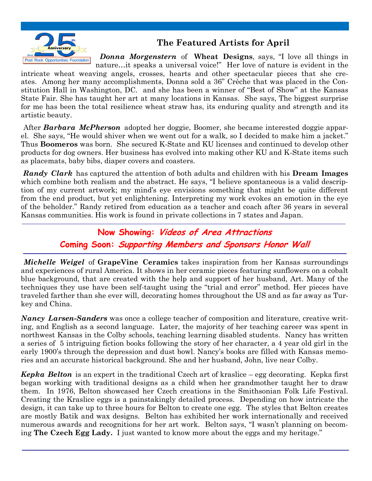

 *Donna Morgenstern* of **Wheat Designs**, says, "I love all things in nature…it speaks a universal voice!" Her love of nature is evident in the

intricate wheat weaving angels, crosses, hearts and other spectacular pieces that she creates. Among her many accomplishments, Donna sold a 36" Crèche that was placed in the Constitution Hall in Washington, DC. and she has been a winner of "Best of Show" at the Kansas State Fair. She has taught her art at many locations in Kansas. She says, The biggest surprise for me has been the total resilience wheat straw has, its enduring quality and strength and its artistic beauty.

After *Barbara McPherson* adopted her doggie, Boomer, she became interested doggie apparel. She says, "He would shiver when we went out for a walk, so I decided to make him a jacket." Thus **Boomeros** was born. She secured K-State and KU licenses and continued to develop other products for dog owners. Her business has evolved into making other KU and K-State items such as placemats, baby bibs, diaper covers and coasters.

*Randy Clark* has captured the attention of both adults and children with his **Dream Images** which combine both realism and the abstract. He says, "I believe spontaneous is a valid description of my current artwork; my mind's eye envisions something that might be quite different from the end product, but yet enlightening. Interpreting my work evokes an emotion in the eye of the beholder." Randy retired from education as a teacher and coach after 36 years in several Kansas communities. His work is found in private collections in 7 states and Japan.

> **Now Showing: Videos of Area Attractions Coming Soon: Supporting Members and Sponsors Honor Wall**

*Michelle Weigel* of **GrapeVine Ceramics** takes inspiration from her Kansas surroundings and experiences of rural America. It shows in her ceramic pieces featuring sunflowers on a cobalt blue background, that are created with the help and support of her husband, Art. Many of the techniques they use have been self-taught using the "trial and error" method. Her pieces have traveled farther than she ever will, decorating homes throughout the US and as far away as Turkey and China.

*Nancy Larsen-Sanders* was once a college teacher of composition and literature, creative writing, and English as a second language. Later, the majority of her teaching career was spent in northwest Kansas in the Colby schools, teaching learning disabled students. Nancy has written a series of 5 intriguing fiction books following the story of her character, a 4 year old girl in the early 1900's through the depression and dust bowl. Nancy's books are filled with Kansas memories and an accurate historical background. She and her husband, John, live near Colby.

*Kepka Belton* is an expert in the traditional Czech art of kraslice – egg decorating. Kepka first began working with traditional designs as a child when her grandmother taught her to draw them. In 1976, Belton showcased her Czech creations in the Smithsonian Folk Life Festival. Creating the Kraslice eggs is a painstakingly detailed process. Depending on how intricate the design, it can take up to three hours for Belton to create one egg. The styles that Belton creates are mostly Batik and wax designs. Belton has exhibited her work internationally and received numerous awards and recognitions for her art work. Belton says, "I wasn't planning on becoming **The Czech Egg Lady.** I just wanted to know more about the eggs and my heritage."